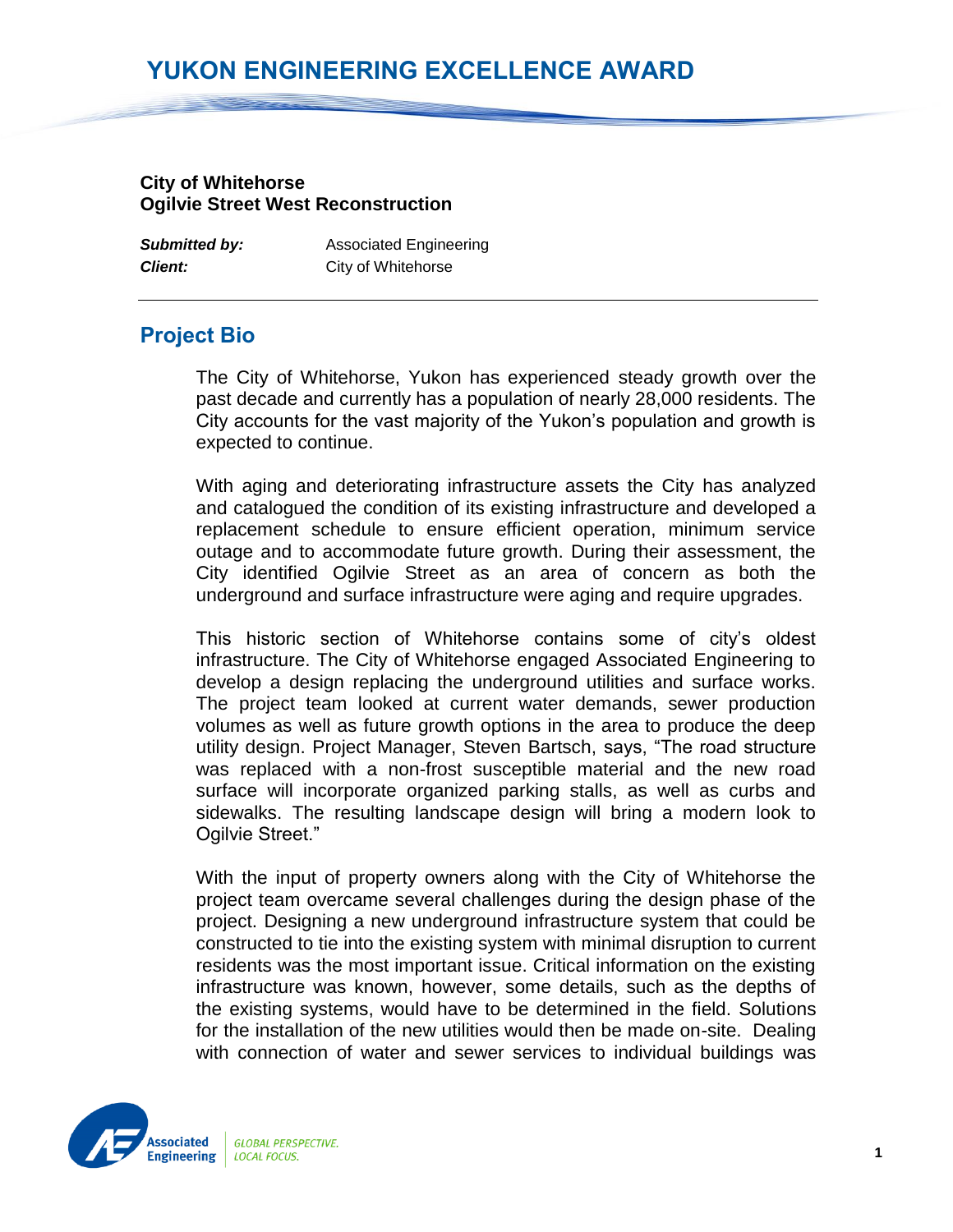## **YUKON ENGINEERING EXCELLENCE AWARD**

## **City of Whitehorse Ogilvie Street West Reconstruction**

| <b>Submitted by:</b> | <b>Associated Engineering</b> |
|----------------------|-------------------------------|
| <b>Client:</b>       | City of Whitehorse            |

## **Project Bio**

The City of Whitehorse, Yukon has experienced steady growth over the past decade and currently has a population of nearly 28,000 residents. The City accounts for the vast majority of the Yukon's population and growth is expected to continue.

With aging and deteriorating infrastructure assets the City has analyzed and catalogued the condition of its existing infrastructure and developed a replacement schedule to ensure efficient operation, minimum service outage and to accommodate future growth. During their assessment, the City identified Ogilvie Street as an area of concern as both the underground and surface infrastructure were aging and require upgrades.

This historic section of Whitehorse contains some of city's oldest infrastructure. The City of Whitehorse engaged Associated Engineering to develop a design replacing the underground utilities and surface works. The project team looked at current water demands, sewer production volumes as well as future growth options in the area to produce the deep utility design. Project Manager, Steven Bartsch, says, "The road structure was replaced with a non-frost susceptible material and the new road surface will incorporate organized parking stalls, as well as curbs and sidewalks. The resulting landscape design will bring a modern look to Ogilvie Street."

With the input of property owners along with the City of Whitehorse the project team overcame several challenges during the design phase of the project. Designing a new underground infrastructure system that could be constructed to tie into the existing system with minimal disruption to current residents was the most important issue. Critical information on the existing infrastructure was known, however, some details, such as the depths of the existing systems, would have to be determined in the field. Solutions for the installation of the new utilities would then be made on-site. Dealing with connection of water and sewer services to individual buildings was